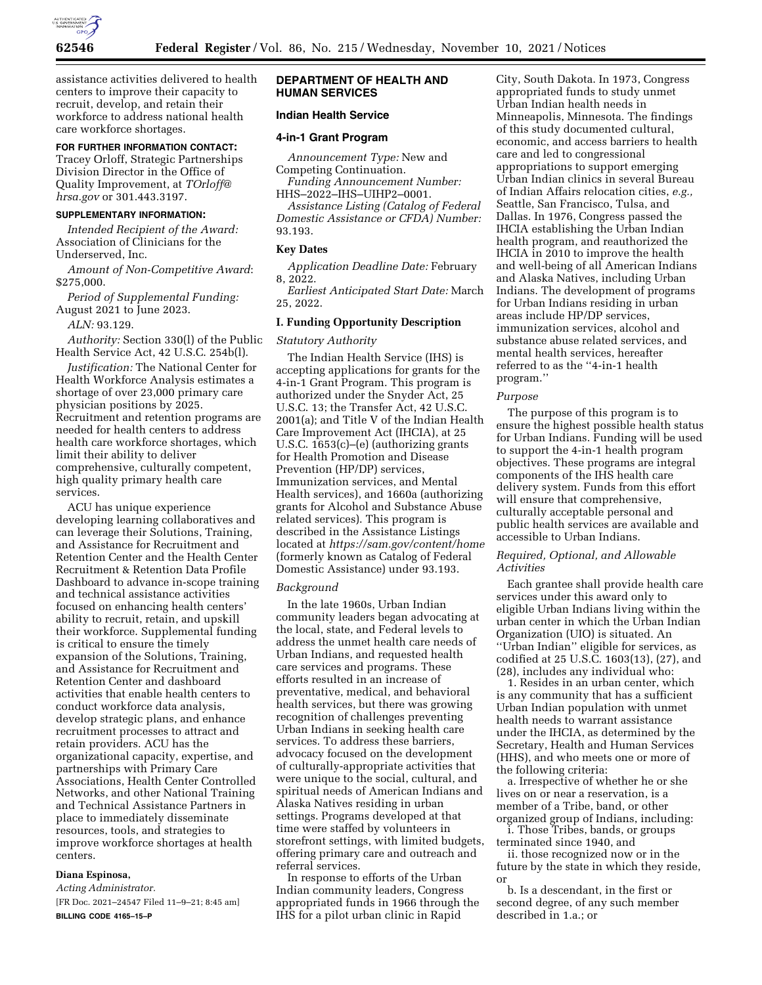

assistance activities delivered to health centers to improve their capacity to recruit, develop, and retain their workforce to address national health care workforce shortages.

## **FOR FURTHER INFORMATION CONTACT:**

Tracey Orloff, Strategic Partnerships Division Director in the Office of Quality Improvement, at *[TOrloff@](mailto:TOrloff@hrsa.gov) [hrsa.gov](mailto:TOrloff@hrsa.gov)* or 301.443.3197.

### **SUPPLEMENTARY INFORMATION:**

*Intended Recipient of the Award:*  Association of Clinicians for the Underserved, Inc.

*Amount of Non-Competitive Award*: \$275,000.

*Period of Supplemental Funding:*  August 2021 to June 2023.

*ALN:* 93.129.

*Authority:* Section 330(l) of the Public Health Service Act, 42 U.S.C. 254b(l).

*Justification:* The National Center for Health Workforce Analysis estimates a shortage of over 23,000 primary care physician positions by 2025. Recruitment and retention programs are needed for health centers to address health care workforce shortages, which limit their ability to deliver comprehensive, culturally competent, high quality primary health care services.

ACU has unique experience developing learning collaboratives and can leverage their Solutions, Training, and Assistance for Recruitment and Retention Center and the Health Center Recruitment & Retention Data Profile Dashboard to advance in-scope training and technical assistance activities focused on enhancing health centers' ability to recruit, retain, and upskill their workforce. Supplemental funding is critical to ensure the timely expansion of the Solutions, Training, and Assistance for Recruitment and Retention Center and dashboard activities that enable health centers to conduct workforce data analysis, develop strategic plans, and enhance recruitment processes to attract and retain providers. ACU has the organizational capacity, expertise, and partnerships with Primary Care Associations, Health Center Controlled Networks, and other National Training and Technical Assistance Partners in place to immediately disseminate resources, tools, and strategies to improve workforce shortages at health centers.

# **Diana Espinosa,**

*Acting Administrator.*  [FR Doc. 2021–24547 Filed 11–9–21; 8:45 am] **BILLING CODE 4165–15–P** 

## **DEPARTMENT OF HEALTH AND HUMAN SERVICES**

## **Indian Health Service**

#### **4-in-1 Grant Program**

*Announcement Type:* New and Competing Continuation.

*Funding Announcement Number:*  HHS–2022–IHS–UIHP2–0001.

*Assistance Listing (Catalog of Federal Domestic Assistance or CFDA) Number:*  93.193.

### **Key Dates**

*Application Deadline Date:* February 8, 2022.

*Earliest Anticipated Start Date:* March 25, 2022.

### **I. Funding Opportunity Description**

#### *Statutory Authority*

The Indian Health Service (IHS) is accepting applications for grants for the 4-in-1 Grant Program. This program is authorized under the Snyder Act, 25 U.S.C. 13; the Transfer Act, 42 U.S.C. 2001(a); and Title V of the Indian Health Care Improvement Act (IHCIA), at 25 U.S.C. 1653(c)–(e) (authorizing grants for Health Promotion and Disease Prevention (HP/DP) services, Immunization services, and Mental Health services), and 1660a (authorizing grants for Alcohol and Substance Abuse related services). This program is described in the Assistance Listings located at *<https://sam.gov/content/home>* (formerly known as Catalog of Federal Domestic Assistance) under 93.193.

#### *Background*

In the late 1960s, Urban Indian community leaders began advocating at the local, state, and Federal levels to address the unmet health care needs of Urban Indians, and requested health care services and programs. These efforts resulted in an increase of preventative, medical, and behavioral health services, but there was growing recognition of challenges preventing Urban Indians in seeking health care services. To address these barriers, advocacy focused on the development of culturally-appropriate activities that were unique to the social, cultural, and spiritual needs of American Indians and Alaska Natives residing in urban settings. Programs developed at that time were staffed by volunteers in storefront settings, with limited budgets, offering primary care and outreach and referral services.

In response to efforts of the Urban Indian community leaders, Congress appropriated funds in 1966 through the IHS for a pilot urban clinic in Rapid

City, South Dakota. In 1973, Congress appropriated funds to study unmet Urban Indian health needs in Minneapolis, Minnesota. The findings of this study documented cultural, economic, and access barriers to health care and led to congressional appropriations to support emerging Urban Indian clinics in several Bureau of Indian Affairs relocation cities, *e.g.,*  Seattle, San Francisco, Tulsa, and Dallas. In 1976, Congress passed the IHCIA establishing the Urban Indian health program, and reauthorized the IHCIA in 2010 to improve the health and well-being of all American Indians and Alaska Natives, including Urban Indians. The development of programs for Urban Indians residing in urban areas include HP/DP services, immunization services, alcohol and substance abuse related services, and mental health services, hereafter referred to as the ''4-in-1 health program.''

#### *Purpose*

The purpose of this program is to ensure the highest possible health status for Urban Indians. Funding will be used to support the 4-in-1 health program objectives. These programs are integral components of the IHS health care delivery system. Funds from this effort will ensure that comprehensive, culturally acceptable personal and public health services are available and accessible to Urban Indians.

### *Required, Optional, and Allowable Activities*

Each grantee shall provide health care services under this award only to eligible Urban Indians living within the urban center in which the Urban Indian Organization (UIO) is situated. An ''Urban Indian'' eligible for services, as codified at 25 U.S.C. 1603(13), (27), and (28), includes any individual who:

1. Resides in an urban center, which is any community that has a sufficient Urban Indian population with unmet health needs to warrant assistance under the IHCIA, as determined by the Secretary, Health and Human Services (HHS), and who meets one or more of the following criteria:

a. Irrespective of whether he or she lives on or near a reservation, is a member of a Tribe, band, or other organized group of Indians, including:

i. Those Tribes, bands, or groups terminated since 1940, and

ii. those recognized now or in the future by the state in which they reside, or

b. Is a descendant, in the first or second degree, of any such member described in 1.a.; or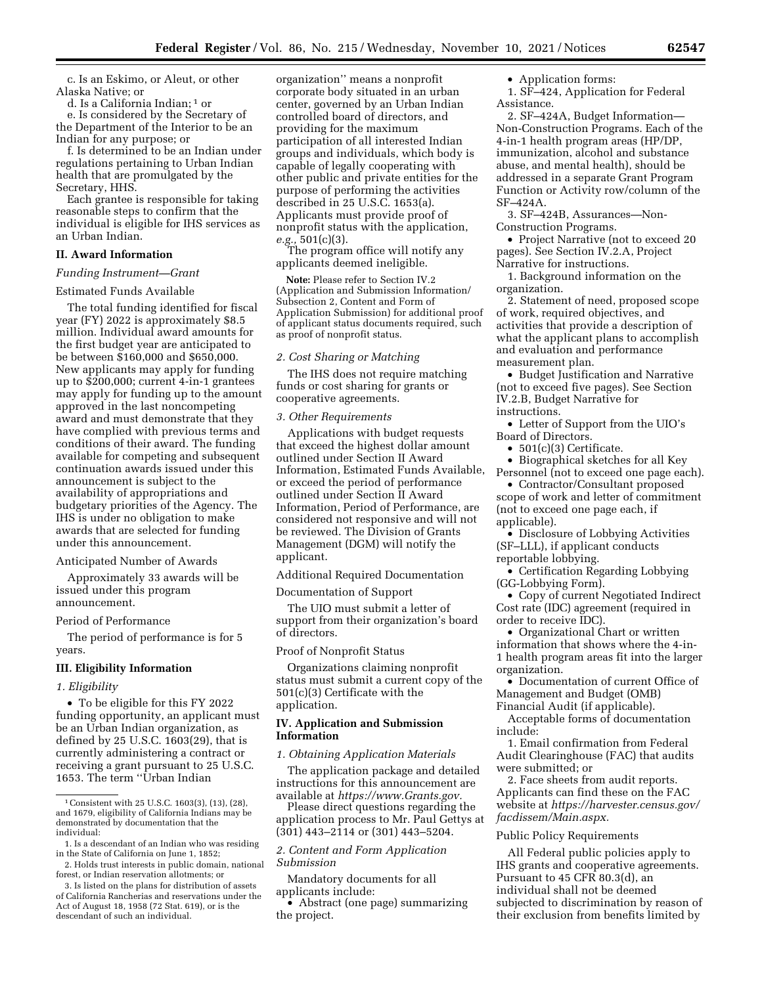c. Is an Eskimo, or Aleut, or other Alaska Native; or

d. Is a California Indian; 1 or

e. Is considered by the Secretary of the Department of the Interior to be an Indian for any purpose; or

f. Is determined to be an Indian under regulations pertaining to Urban Indian health that are promulgated by the Secretary, HHS.

Each grantee is responsible for taking reasonable steps to confirm that the individual is eligible for IHS services as an Urban Indian.

## **II. Award Information**

## *Funding Instrument—Grant*

#### Estimated Funds Available

The total funding identified for fiscal year (FY) 2022 is approximately \$8.5 million. Individual award amounts for the first budget year are anticipated to be between \$160,000 and \$650,000. New applicants may apply for funding up to \$200,000; current 4-in-1 grantees may apply for funding up to the amount approved in the last noncompeting award and must demonstrate that they have complied with previous terms and conditions of their award. The funding available for competing and subsequent continuation awards issued under this announcement is subject to the availability of appropriations and budgetary priorities of the Agency. The IHS is under no obligation to make awards that are selected for funding under this announcement.

### Anticipated Number of Awards

Approximately 33 awards will be issued under this program announcement.

### Period of Performance

The period of performance is for 5 years.

### **III. Eligibility Information**

### *1. Eligibility*

• To be eligible for this FY 2022 funding opportunity, an applicant must be an Urban Indian organization, as defined by 25 U.S.C. 1603(29), that is currently administering a contract or receiving a grant pursuant to 25 U.S.C. 1653. The term ''Urban Indian

organization'' means a nonprofit corporate body situated in an urban center, governed by an Urban Indian controlled board of directors, and providing for the maximum participation of all interested Indian groups and individuals, which body is capable of legally cooperating with other public and private entities for the purpose of performing the activities described in 25 U.S.C. 1653(a). Applicants must provide proof of nonprofit status with the application, *e.g.,* 501(c)(3).

The program office will notify any applicants deemed ineligible.

**Note:** Please refer to Section IV.2 (Application and Submission Information/ Subsection 2, Content and Form of Application Submission) for additional proof of applicant status documents required, such as proof of nonprofit status.

#### *2. Cost Sharing or Matching*

The IHS does not require matching funds or cost sharing for grants or cooperative agreements.

### *3. Other Requirements*

Applications with budget requests that exceed the highest dollar amount outlined under Section II Award Information, Estimated Funds Available, or exceed the period of performance outlined under Section II Award Information, Period of Performance, are considered not responsive and will not be reviewed. The Division of Grants Management (DGM) will notify the applicant.

Additional Required Documentation

Documentation of Support

The UIO must submit a letter of support from their organization's board of directors.

Proof of Nonprofit Status

Organizations claiming nonprofit status must submit a current copy of the 501(c)(3) Certificate with the application.

## **IV. Application and Submission Information**

# *1. Obtaining Application Materials*

The application package and detailed instructions for this announcement are available at *[https://www.Grants.gov.](https://www.Grants.gov)* 

Please direct questions regarding the application process to Mr. Paul Gettys at (301) 443–2114 or (301) 443–5204.

## *2. Content and Form Application Submission*

Mandatory documents for all applicants include:

• Abstract (one page) summarizing the project.

• Application forms:

1. SF–424, Application for Federal Assistance.

2. SF–424A, Budget Information— Non-Construction Programs. Each of the 4-in-1 health program areas (HP/DP, immunization, alcohol and substance abuse, and mental health), should be addressed in a separate Grant Program Function or Activity row/column of the SF–424A.

3. SF–424B, Assurances—Non-Construction Programs.

• Project Narrative (not to exceed 20 pages). See Section IV.2.A, Project

Narrative for instructions. 1. Background information on the organization.

2. Statement of need, proposed scope of work, required objectives, and activities that provide a description of what the applicant plans to accomplish

and evaluation and performance measurement plan.

• Budget Justification and Narrative (not to exceed five pages). See Section IV.2.B, Budget Narrative for instructions.

• Letter of Support from the UIO's Board of Directors.

• 501(c)(3) Certificate.

• Biographical sketches for all Key

Personnel (not to exceed one page each). • Contractor/Consultant proposed

scope of work and letter of commitment (not to exceed one page each, if applicable).

• Disclosure of Lobbying Activities (SF–LLL), if applicant conducts reportable lobbying.

• Certification Regarding Lobbying (GG-Lobbying Form).

• Copy of current Negotiated Indirect Cost rate (IDC) agreement (required in order to receive IDC).

• Organizational Chart or written information that shows where the 4-in-1 health program areas fit into the larger organization.

• Documentation of current Office of Management and Budget (OMB) Financial Audit (if applicable).

Acceptable forms of documentation include:

1. Email confirmation from Federal Audit Clearinghouse (FAC) that audits were submitted; or

2. Face sheets from audit reports. Applicants can find these on the FAC website at *[https://harvester.census.gov/](https://harvester.census.gov/facdissem/Main.aspx) [facdissem/Main.aspx.](https://harvester.census.gov/facdissem/Main.aspx)* 

#### Public Policy Requirements

All Federal public policies apply to IHS grants and cooperative agreements. Pursuant to 45 CFR 80.3(d), an individual shall not be deemed subjected to discrimination by reason of their exclusion from benefits limited by

<sup>1</sup>Consistent with 25 U.S.C. 1603(3), (13), (28), and 1679, eligibility of California Indians may be demonstrated by documentation that the individual:

<sup>1.</sup> Is a descendant of an Indian who was residing in the State of California on June 1, 1852;

<sup>2.</sup> Holds trust interests in public domain, national forest, or Indian reservation allotments; or

<sup>3.</sup> Is listed on the plans for distribution of assets of California Rancherias and reservations under the Act of August 18, 1958 (72 Stat. 619), or is the descendant of such an individual.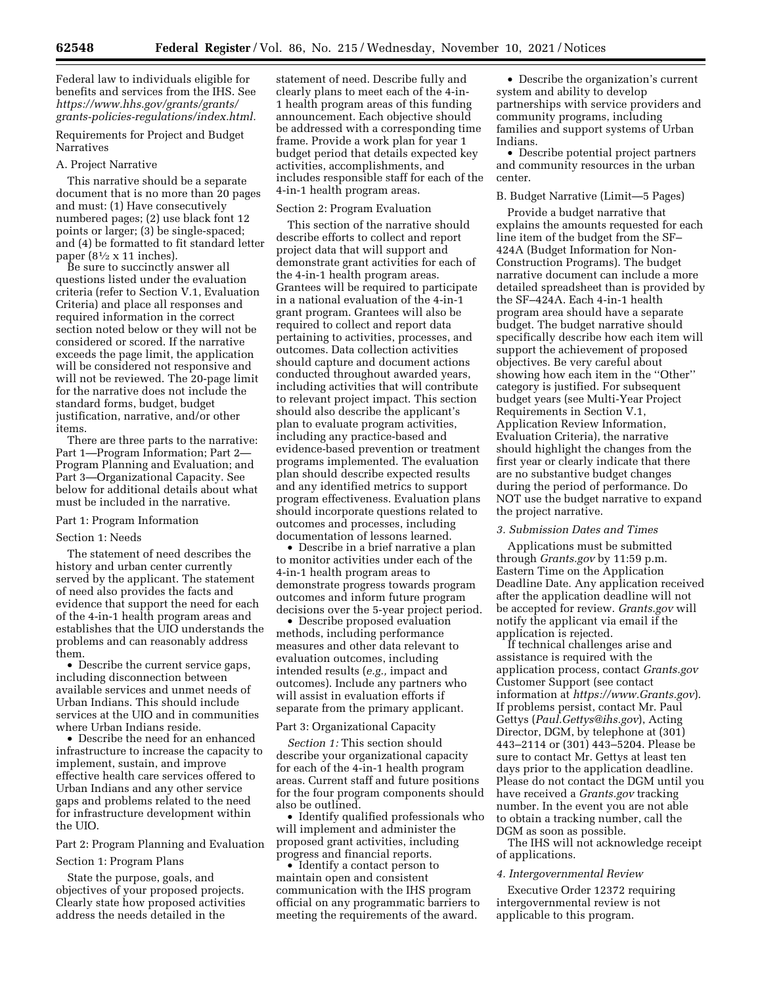Federal law to individuals eligible for benefits and services from the IHS. See *[https://www.hhs.gov/grants/grants/](https://www.hhs.gov/grants/grants/grants-policies-regulations/index.html)  [grants-policies-regulations/index.html.](https://www.hhs.gov/grants/grants/grants-policies-regulations/index.html)* 

Requirements for Project and Budget Narratives

#### A. Project Narrative

This narrative should be a separate document that is no more than 20 pages and must: (1) Have consecutively numbered pages; (2) use black font 12 points or larger; (3) be single-spaced; and (4) be formatted to fit standard letter paper ( $8\frac{1}{2} \times 11$  inches).

Be sure to succinctly answer all questions listed under the evaluation criteria (refer to Section V.1, Evaluation Criteria) and place all responses and required information in the correct section noted below or they will not be considered or scored. If the narrative exceeds the page limit, the application will be considered not responsive and will not be reviewed. The 20-page limit for the narrative does not include the standard forms, budget, budget justification, narrative, and/or other items.

There are three parts to the narrative: Part 1—Program Information; Part 2— Program Planning and Evaluation; and Part 3—Organizational Capacity. See below for additional details about what must be included in the narrative.

#### Part 1: Program Information

#### Section 1: Needs

The statement of need describes the history and urban center currently served by the applicant. The statement of need also provides the facts and evidence that support the need for each of the 4-in-1 health program areas and establishes that the UIO understands the problems and can reasonably address them.

• Describe the current service gaps, including disconnection between available services and unmet needs of Urban Indians. This should include services at the UIO and in communities where Urban Indians reside.

• Describe the need for an enhanced infrastructure to increase the capacity to implement, sustain, and improve effective health care services offered to Urban Indians and any other service gaps and problems related to the need for infrastructure development within the UIO.

### Part 2: Program Planning and Evaluation

#### Section 1: Program Plans

State the purpose, goals, and objectives of your proposed projects. Clearly state how proposed activities address the needs detailed in the

statement of need. Describe fully and clearly plans to meet each of the 4-in-1 health program areas of this funding announcement. Each objective should be addressed with a corresponding time frame. Provide a work plan for year 1 budget period that details expected key activities, accomplishments, and includes responsible staff for each of the 4-in-1 health program areas.

#### Section 2: Program Evaluation

This section of the narrative should describe efforts to collect and report project data that will support and demonstrate grant activities for each of the 4-in-1 health program areas. Grantees will be required to participate in a national evaluation of the 4-in-1 grant program. Grantees will also be required to collect and report data pertaining to activities, processes, and outcomes. Data collection activities should capture and document actions conducted throughout awarded years, including activities that will contribute to relevant project impact. This section should also describe the applicant's plan to evaluate program activities, including any practice-based and evidence-based prevention or treatment programs implemented. The evaluation plan should describe expected results and any identified metrics to support program effectiveness. Evaluation plans should incorporate questions related to outcomes and processes, including documentation of lessons learned.

• Describe in a brief narrative a plan to monitor activities under each of the 4-in-1 health program areas to demonstrate progress towards program outcomes and inform future program decisions over the 5-year project period.

• Describe proposed evaluation methods, including performance measures and other data relevant to evaluation outcomes, including intended results (*e.g.,* impact and outcomes). Include any partners who will assist in evaluation efforts if separate from the primary applicant.

## Part 3: Organizational Capacity

*Section 1:* This section should describe your organizational capacity for each of the 4-in-1 health program areas. Current staff and future positions for the four program components should also be outlined.

• Identify qualified professionals who will implement and administer the proposed grant activities, including progress and financial reports.

• Identify a contact person to maintain open and consistent communication with the IHS program official on any programmatic barriers to meeting the requirements of the award.

• Describe the organization's current system and ability to develop partnerships with service providers and community programs, including families and support systems of Urban Indians.

• Describe potential project partners and community resources in the urban center.

#### B. Budget Narrative (Limit—5 Pages)

Provide a budget narrative that explains the amounts requested for each line item of the budget from the SF– 424A (Budget Information for Non-Construction Programs). The budget narrative document can include a more detailed spreadsheet than is provided by the SF–424A. Each 4-in-1 health program area should have a separate budget. The budget narrative should specifically describe how each item will support the achievement of proposed objectives. Be very careful about showing how each item in the ''Other'' category is justified. For subsequent budget years (see Multi-Year Project Requirements in Section V.1, Application Review Information, Evaluation Criteria), the narrative should highlight the changes from the first year or clearly indicate that there are no substantive budget changes during the period of performance. Do NOT use the budget narrative to expand the project narrative.

## *3. Submission Dates and Times*

Applications must be submitted through *Grants.gov* by 11:59 p.m. Eastern Time on the Application Deadline Date. Any application received after the application deadline will not be accepted for review. *Grants.gov* will notify the applicant via email if the application is rejected.

If technical challenges arise and assistance is required with the application process, contact *Grants.gov*  Customer Support (see contact information at *<https://www.Grants.gov>*). If problems persist, contact Mr. Paul Gettys (*[Paul.Gettys@ihs.gov](mailto:Paul.Gettys@ihs.gov)*), Acting Director, DGM, by telephone at (301) 443–2114 or (301) 443–5204. Please be sure to contact Mr. Gettys at least ten days prior to the application deadline. Please do not contact the DGM until you have received a *Grants.gov* tracking number. In the event you are not able to obtain a tracking number, call the DGM as soon as possible.

The IHS will not acknowledge receipt of applications.

#### *4. Intergovernmental Review*

Executive Order 12372 requiring intergovernmental review is not applicable to this program.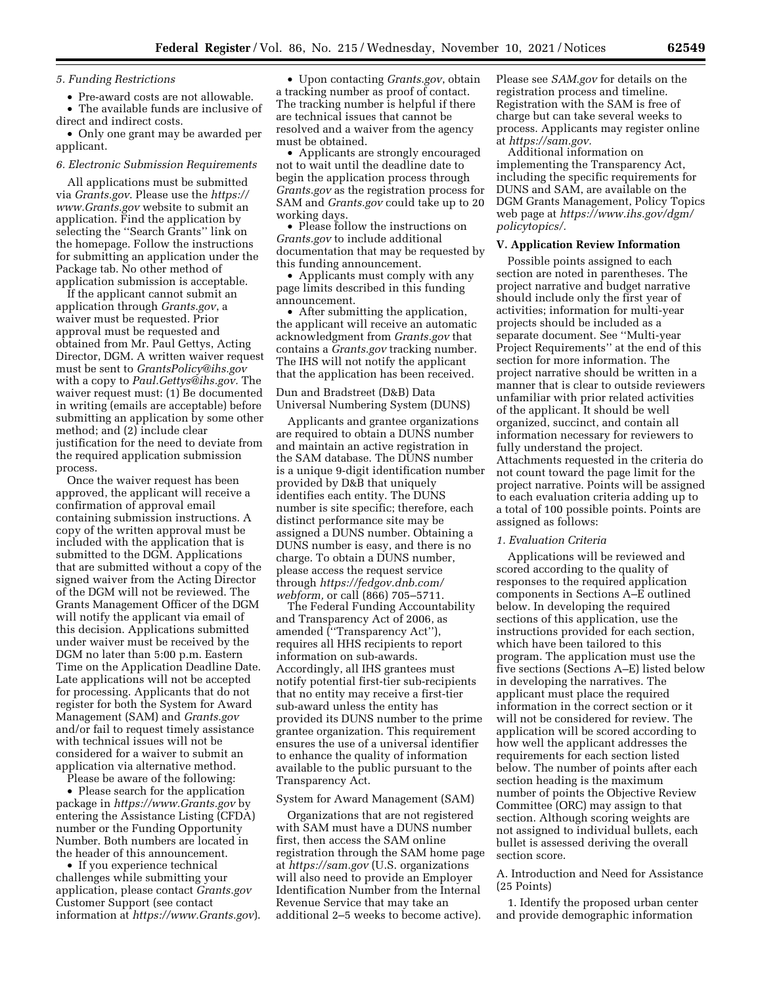## *5. Funding Restrictions*

• Pre-award costs are not allowable. • The available funds are inclusive of

direct and indirect costs. • Only one grant may be awarded per applicant.

## *6. Electronic Submission Requirements*

All applications must be submitted via *Grants.gov*. Please use the *[https://](https://www.Grants.gov) [www.Grants.gov](https://www.Grants.gov)* website to submit an application. Find the application by selecting the ''Search Grants'' link on the homepage. Follow the instructions for submitting an application under the Package tab. No other method of application submission is acceptable.

If the applicant cannot submit an application through *Grants.gov*, a waiver must be requested. Prior approval must be requested and obtained from Mr. Paul Gettys, Acting Director, DGM. A written waiver request must be sent to *[GrantsPolicy@ihs.gov](mailto:GrantsPolicy@ihs.gov)*  with a copy to *[Paul.Gettys@ihs.gov.](mailto:Paul.Gettys@ihs.gov)* The waiver request must: (1) Be documented in writing (emails are acceptable) before submitting an application by some other method; and (2) include clear justification for the need to deviate from the required application submission process.

Once the waiver request has been approved, the applicant will receive a confirmation of approval email containing submission instructions. A copy of the written approval must be included with the application that is submitted to the DGM. Applications that are submitted without a copy of the signed waiver from the Acting Director of the DGM will not be reviewed. The Grants Management Officer of the DGM will notify the applicant via email of this decision. Applications submitted under waiver must be received by the DGM no later than 5:00 p.m. Eastern Time on the Application Deadline Date. Late applications will not be accepted for processing. Applicants that do not register for both the System for Award Management (SAM) and *Grants.gov*  and/or fail to request timely assistance with technical issues will not be considered for a waiver to submit an application via alternative method.

Please be aware of the following:

• Please search for the application package in *<https://www.Grants.gov>* by entering the Assistance Listing (CFDA) number or the Funding Opportunity Number. Both numbers are located in the header of this announcement.

• If you experience technical challenges while submitting your application, please contact *Grants.gov*  Customer Support (see contact information at *<https://www.Grants.gov>*).

• Upon contacting *Grants.gov*, obtain a tracking number as proof of contact. The tracking number is helpful if there are technical issues that cannot be resolved and a waiver from the agency must be obtained.

• Applicants are strongly encouraged not to wait until the deadline date to begin the application process through *Grants.gov* as the registration process for SAM and *Grants.gov* could take up to 20 working days.

• Please follow the instructions on *Grants.gov* to include additional documentation that may be requested by this funding announcement.

• Applicants must comply with any page limits described in this funding announcement.

• After submitting the application, the applicant will receive an automatic acknowledgment from *Grants.gov* that contains a *Grants.gov* tracking number. The IHS will not notify the applicant that the application has been received.

#### Dun and Bradstreet (D&B) Data Universal Numbering System (DUNS)

Applicants and grantee organizations are required to obtain a DUNS number and maintain an active registration in the SAM database. The DUNS number is a unique 9-digit identification number provided by D&B that uniquely identifies each entity. The DUNS number is site specific; therefore, each distinct performance site may be assigned a DUNS number. Obtaining a DUNS number is easy, and there is no charge. To obtain a DUNS number, please access the request service through *[https://fedgov.dnb.com/](https://fedgov.dnb.com/webform)  [webform,](https://fedgov.dnb.com/webform)* or call (866) 705–5711.

The Federal Funding Accountability and Transparency Act of 2006, as amended (''Transparency Act''), requires all HHS recipients to report information on sub-awards. Accordingly, all IHS grantees must notify potential first-tier sub-recipients that no entity may receive a first-tier sub-award unless the entity has provided its DUNS number to the prime grantee organization. This requirement ensures the use of a universal identifier to enhance the quality of information available to the public pursuant to the Transparency Act.

#### System for Award Management (SAM)

Organizations that are not registered with SAM must have a DUNS number first, then access the SAM online registration through the SAM home page at *<https://sam.gov>* (U.S. organizations will also need to provide an Employer Identification Number from the Internal Revenue Service that may take an additional 2–5 weeks to become active).

Please see *SAM.gov* for details on the registration process and timeline. Registration with the SAM is free of charge but can take several weeks to process. Applicants may register online at *[https://sam.gov.](https://sam.gov)* 

Additional information on implementing the Transparency Act, including the specific requirements for DUNS and SAM, are available on the DGM Grants Management, Policy Topics web page at *[https://www.ihs.gov/dgm/](https://www.ihs.gov/dgm/policytopics/) [policytopics/.](https://www.ihs.gov/dgm/policytopics/)* 

#### **V. Application Review Information**

Possible points assigned to each section are noted in parentheses. The project narrative and budget narrative should include only the first year of activities; information for multi-year projects should be included as a separate document. See ''Multi-year Project Requirements'' at the end of this section for more information. The project narrative should be written in a manner that is clear to outside reviewers unfamiliar with prior related activities of the applicant. It should be well organized, succinct, and contain all information necessary for reviewers to fully understand the project. Attachments requested in the criteria do not count toward the page limit for the project narrative. Points will be assigned to each evaluation criteria adding up to a total of 100 possible points. Points are assigned as follows:

#### *1. Evaluation Criteria*

Applications will be reviewed and scored according to the quality of responses to the required application components in Sections A–E outlined below. In developing the required sections of this application, use the instructions provided for each section, which have been tailored to this program. The application must use the five sections (Sections A–E) listed below in developing the narratives. The applicant must place the required information in the correct section or it will not be considered for review. The application will be scored according to how well the applicant addresses the requirements for each section listed below. The number of points after each section heading is the maximum number of points the Objective Review Committee (ORC) may assign to that section. Although scoring weights are not assigned to individual bullets, each bullet is assessed deriving the overall section score.

## A. Introduction and Need for Assistance (25 Points)

1. Identify the proposed urban center and provide demographic information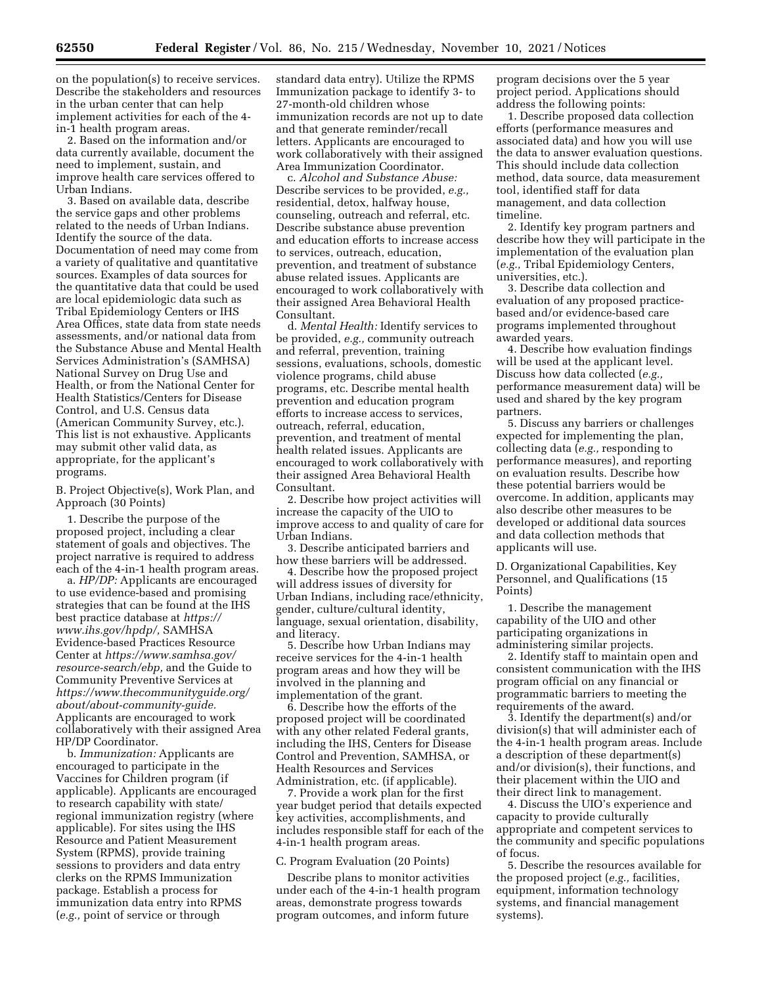on the population(s) to receive services. Describe the stakeholders and resources in the urban center that can help implement activities for each of the 4 in-1 health program areas.

2. Based on the information and/or data currently available, document the need to implement, sustain, and improve health care services offered to Urban Indians.

3. Based on available data, describe the service gaps and other problems related to the needs of Urban Indians. Identify the source of the data. Documentation of need may come from a variety of qualitative and quantitative sources. Examples of data sources for the quantitative data that could be used are local epidemiologic data such as Tribal Epidemiology Centers or IHS Area Offices, state data from state needs assessments, and/or national data from the Substance Abuse and Mental Health Services Administration's (SAMHSA) National Survey on Drug Use and Health, or from the National Center for Health Statistics/Centers for Disease Control, and U.S. Census data (American Community Survey, etc.). This list is not exhaustive. Applicants may submit other valid data, as appropriate, for the applicant's programs.

B. Project Objective(s), Work Plan, and Approach (30 Points)

1. Describe the purpose of the proposed project, including a clear statement of goals and objectives. The project narrative is required to address each of the 4-in-1 health program areas.

a. *HP/DP:* Applicants are encouraged to use evidence-based and promising strategies that can be found at the IHS best practice database at *[https://](https://www.ihs.gov/hpdp/) [www.ihs.gov/hpdp/,](https://www.ihs.gov/hpdp/)* SAMHSA Evidence-based Practices Resource Center at *[https://www.samhsa.gov/](https://www.samhsa.gov/resource-search/ebp)  [resource-search/ebp,](https://www.samhsa.gov/resource-search/ebp)* and the Guide to Community Preventive Services at *[https://www.thecommunityguide.org/](https://www.thecommunityguide.org/about/about-community-guide) [about/about-community-guide.](https://www.thecommunityguide.org/about/about-community-guide)*  Applicants are encouraged to work collaboratively with their assigned Area HP/DP Coordinator.

b. *Immunization:* Applicants are encouraged to participate in the Vaccines for Children program (if applicable). Applicants are encouraged to research capability with state/ regional immunization registry (where applicable). For sites using the IHS Resource and Patient Measurement System (RPMS), provide training sessions to providers and data entry clerks on the RPMS Immunization package. Establish a process for immunization data entry into RPMS (*e.g.,* point of service or through

standard data entry). Utilize the RPMS Immunization package to identify 3- to 27-month-old children whose immunization records are not up to date and that generate reminder/recall letters. Applicants are encouraged to work collaboratively with their assigned Area Immunization Coordinator.

c. *Alcohol and Substance Abuse:*  Describe services to be provided, *e.g.,*  residential, detox, halfway house, counseling, outreach and referral, etc. Describe substance abuse prevention and education efforts to increase access to services, outreach, education, prevention, and treatment of substance abuse related issues. Applicants are encouraged to work collaboratively with their assigned Area Behavioral Health Consultant.

d. *Mental Health:* Identify services to be provided, *e.g.,* community outreach and referral, prevention, training sessions, evaluations, schools, domestic violence programs, child abuse programs, etc. Describe mental health prevention and education program efforts to increase access to services, outreach, referral, education, prevention, and treatment of mental health related issues. Applicants are encouraged to work collaboratively with their assigned Area Behavioral Health Consultant.

2. Describe how project activities will increase the capacity of the UIO to improve access to and quality of care for Urban Indians.

3. Describe anticipated barriers and how these barriers will be addressed.

4. Describe how the proposed project will address issues of diversity for Urban Indians, including race/ethnicity, gender, culture/cultural identity, language, sexual orientation, disability, and literacy.

5. Describe how Urban Indians may receive services for the 4-in-1 health program areas and how they will be involved in the planning and implementation of the grant.

6. Describe how the efforts of the proposed project will be coordinated with any other related Federal grants, including the IHS, Centers for Disease Control and Prevention, SAMHSA, or Health Resources and Services Administration, etc. (if applicable).

7. Provide a work plan for the first year budget period that details expected key activities, accomplishments, and includes responsible staff for each of the 4-in-1 health program areas.

#### C. Program Evaluation (20 Points)

Describe plans to monitor activities under each of the 4-in-1 health program areas, demonstrate progress towards program outcomes, and inform future

program decisions over the 5 year project period. Applications should address the following points:

1. Describe proposed data collection efforts (performance measures and associated data) and how you will use the data to answer evaluation questions. This should include data collection method, data source, data measurement tool, identified staff for data management, and data collection timeline.

2. Identify key program partners and describe how they will participate in the implementation of the evaluation plan (*e.g.,* Tribal Epidemiology Centers, universities, etc.).

3. Describe data collection and evaluation of any proposed practicebased and/or evidence-based care programs implemented throughout awarded years.

4. Describe how evaluation findings will be used at the applicant level. Discuss how data collected (*e.g.,*  performance measurement data) will be used and shared by the key program partners.

5. Discuss any barriers or challenges expected for implementing the plan, collecting data (*e.g.,* responding to performance measures), and reporting on evaluation results. Describe how these potential barriers would be overcome. In addition, applicants may also describe other measures to be developed or additional data sources and data collection methods that applicants will use.

D. Organizational Capabilities, Key Personnel, and Qualifications (15 Points)

1. Describe the management capability of the UIO and other participating organizations in administering similar projects.

2. Identify staff to maintain open and consistent communication with the IHS program official on any financial or programmatic barriers to meeting the requirements of the award.

3. Identify the department(s) and/or division(s) that will administer each of the 4-in-1 health program areas. Include a description of these department(s) and/or division(s), their functions, and their placement within the UIO and their direct link to management.

4. Discuss the UIO's experience and capacity to provide culturally appropriate and competent services to the community and specific populations of focus.

5. Describe the resources available for the proposed project (*e.g.,* facilities, equipment, information technology systems, and financial management systems).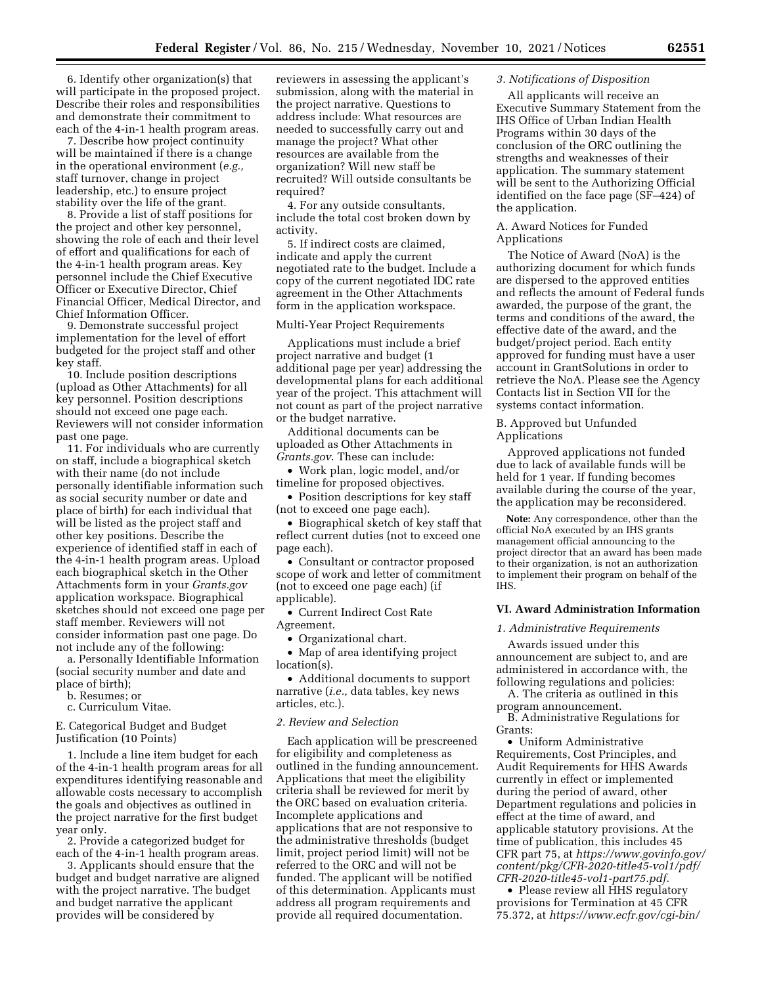6. Identify other organization(s) that will participate in the proposed project. Describe their roles and responsibilities and demonstrate their commitment to each of the 4-in-1 health program areas.

7. Describe how project continuity will be maintained if there is a change in the operational environment (*e.g.,*  staff turnover, change in project leadership, etc.) to ensure project stability over the life of the grant.

8. Provide a list of staff positions for the project and other key personnel, showing the role of each and their level of effort and qualifications for each of the 4-in-1 health program areas. Key personnel include the Chief Executive Officer or Executive Director, Chief Financial Officer, Medical Director, and Chief Information Officer.

9. Demonstrate successful project implementation for the level of effort budgeted for the project staff and other key staff.

10. Include position descriptions (upload as Other Attachments) for all key personnel. Position descriptions should not exceed one page each. Reviewers will not consider information past one page.

11. For individuals who are currently on staff, include a biographical sketch with their name (do not include personally identifiable information such as social security number or date and place of birth) for each individual that will be listed as the project staff and other key positions. Describe the experience of identified staff in each of the 4-in-1 health program areas. Upload each biographical sketch in the Other Attachments form in your *Grants.gov*  application workspace. Biographical sketches should not exceed one page per staff member. Reviewers will not consider information past one page. Do not include any of the following:

a. Personally Identifiable Information (social security number and date and place of birth);

- b. Resumes; or
- c. Curriculum Vitae.

E. Categorical Budget and Budget Justification (10 Points)

1. Include a line item budget for each of the 4-in-1 health program areas for all expenditures identifying reasonable and allowable costs necessary to accomplish the goals and objectives as outlined in the project narrative for the first budget year only.

2. Provide a categorized budget for each of the 4-in-1 health program areas.

3. Applicants should ensure that the budget and budget narrative are aligned with the project narrative. The budget and budget narrative the applicant provides will be considered by

reviewers in assessing the applicant's submission, along with the material in the project narrative. Questions to address include: What resources are needed to successfully carry out and manage the project? What other resources are available from the organization? Will new staff be recruited? Will outside consultants be required?

4. For any outside consultants, include the total cost broken down by activity.

5. If indirect costs are claimed, indicate and apply the current negotiated rate to the budget. Include a copy of the current negotiated IDC rate agreement in the Other Attachments form in the application workspace.

#### Multi-Year Project Requirements

Applications must include a brief project narrative and budget (1 additional page per year) addressing the developmental plans for each additional year of the project. This attachment will not count as part of the project narrative or the budget narrative.

Additional documents can be uploaded as Other Attachments in *Grants.gov*. These can include:

• Work plan, logic model, and/or timeline for proposed objectives.

• Position descriptions for key staff (not to exceed one page each).

• Biographical sketch of key staff that reflect current duties (not to exceed one page each).

• Consultant or contractor proposed scope of work and letter of commitment (not to exceed one page each) (if applicable).

• Current Indirect Cost Rate Agreement.

• Organizational chart.

• Map of area identifying project location(s).

• Additional documents to support narrative (*i.e.,* data tables, key news articles, etc.).

### *2. Review and Selection*

Each application will be prescreened for eligibility and completeness as outlined in the funding announcement. Applications that meet the eligibility criteria shall be reviewed for merit by the ORC based on evaluation criteria. Incomplete applications and applications that are not responsive to the administrative thresholds (budget limit, project period limit) will not be referred to the ORC and will not be funded. The applicant will be notified of this determination. Applicants must address all program requirements and provide all required documentation.

# *3. Notifications of Disposition*

All applicants will receive an Executive Summary Statement from the IHS Office of Urban Indian Health Programs within 30 days of the conclusion of the ORC outlining the strengths and weaknesses of their application. The summary statement will be sent to the Authorizing Official identified on the face page (SF–424) of the application.

### A. Award Notices for Funded Applications

The Notice of Award (NoA) is the authorizing document for which funds are dispersed to the approved entities and reflects the amount of Federal funds awarded, the purpose of the grant, the terms and conditions of the award, the effective date of the award, and the budget/project period. Each entity approved for funding must have a user account in GrantSolutions in order to retrieve the NoA. Please see the Agency Contacts list in Section VII for the systems contact information.

### B. Approved but Unfunded Applications

Approved applications not funded due to lack of available funds will be held for 1 year. If funding becomes available during the course of the year, the application may be reconsidered.

**Note:** Any correspondence, other than the official NoA executed by an IHS grants management official announcing to the project director that an award has been made to their organization, is not an authorization to implement their program on behalf of the IHS.

### **VI. Award Administration Information**

#### *1. Administrative Requirements*

Awards issued under this announcement are subject to, and are administered in accordance with, the following regulations and policies:

A. The criteria as outlined in this program announcement.

B. Administrative Regulations for Grants:

• Uniform Administrative Requirements, Cost Principles, and Audit Requirements for HHS Awards currently in effect or implemented during the period of award, other Department regulations and policies in effect at the time of award, and applicable statutory provisions. At the time of publication, this includes 45 CFR part 75, at *[https://www.govinfo.gov/](https://www.govinfo.gov/content/pkg/CFR-2020-title45-vol1/pdf/CFR-2020-title45-vol1-part75.pdf) [content/pkg/CFR-2020-title45-vol1/pdf/](https://www.govinfo.gov/content/pkg/CFR-2020-title45-vol1/pdf/CFR-2020-title45-vol1-part75.pdf) [CFR-2020-title45-vol1-part75.pdf.](https://www.govinfo.gov/content/pkg/CFR-2020-title45-vol1/pdf/CFR-2020-title45-vol1-part75.pdf)* 

• Please review all HHS regulatory provisions for Termination at 45 CFR 75.372, at *[https://www.ecfr.gov/cgi-bin/](https://www.ecfr.gov/cgi-bin/retrieveECFR?gp&SID=2970eec67399fab1413ede53d7895d99&mc=true&n=pt45.1.75&r=PART&ty=HTML&se45.1.75_1372#se45.1.75_1372)*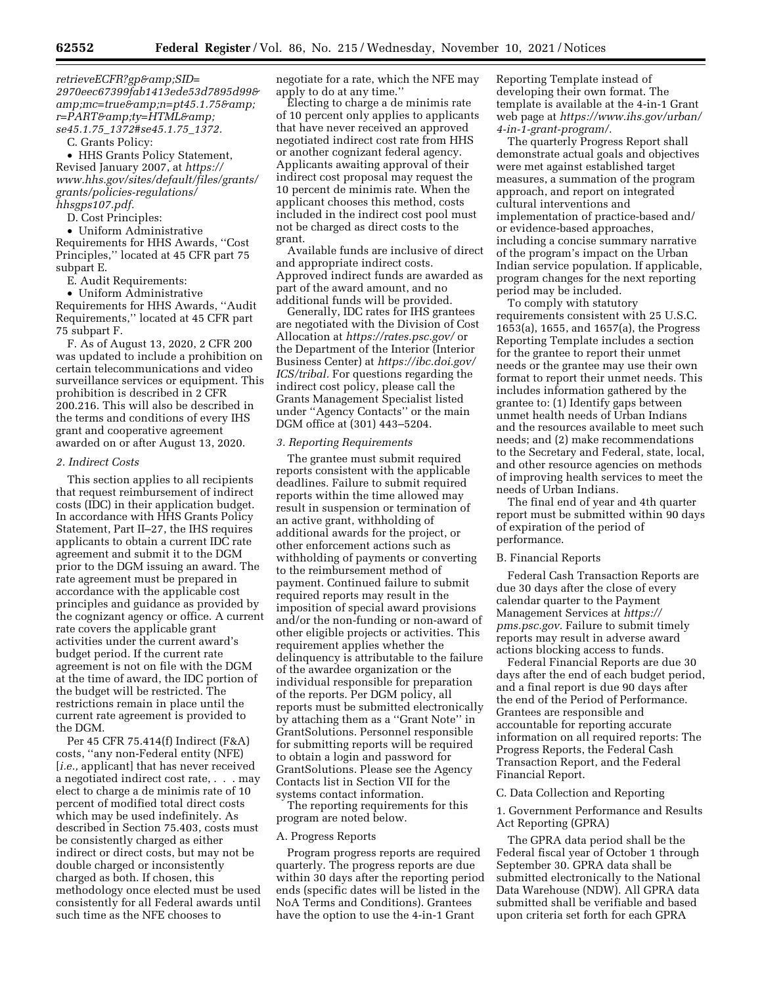*[2970eec67399fab1413ede53d7895d99&](https://www.ecfr.gov/cgi-bin/retrieveECFR?gp&SID=2970eec67399fab1413ede53d7895d99&mc=true&n=pt45.1.75&r=PART&ty=HTML&se45.1.75_1372#se45.1.75_1372) amp;mc=true&n=pt45.1.75& [r=PART&ty=HTML&](https://www.ecfr.gov/cgi-bin/retrieveECFR?gp&SID=2970eec67399fab1413ede53d7895d99&mc=true&n=pt45.1.75&r=PART&ty=HTML&se45.1.75_1372#se45.1.75_1372) se45.1.75*\_*[1372#se45.1.75](https://www.ecfr.gov/cgi-bin/retrieveECFR?gp&SID=2970eec67399fab1413ede53d7895d99&mc=true&n=pt45.1.75&r=PART&ty=HTML&se45.1.75_1372#se45.1.75_1372)*\_*1372.* 

C. Grants Policy:

• HHS Grants Policy Statement, Revised January 2007, at *[https://](https://www.hhs.gov/sites/default/files/grants/grants/policies-regulations/hhsgps107.pdf) [www.hhs.gov/sites/default/files/grants/](https://www.hhs.gov/sites/default/files/grants/grants/policies-regulations/hhsgps107.pdf) [grants/policies-regulations/](https://www.hhs.gov/sites/default/files/grants/grants/policies-regulations/hhsgps107.pdf)  [hhsgps107.pdf.](https://www.hhs.gov/sites/default/files/grants/grants/policies-regulations/hhsgps107.pdf)* 

D. Cost Principles:

• Uniform Administrative Requirements for HHS Awards, ''Cost Principles,'' located at 45 CFR part 75 subpart E.

E. Audit Requirements:

• Uniform Administrative Requirements for HHS Awards, ''Audit Requirements,'' located at 45 CFR part 75 subpart F.

F. As of August 13, 2020, 2 CFR 200 was updated to include a prohibition on certain telecommunications and video surveillance services or equipment. This prohibition is described in 2 CFR 200.216. This will also be described in the terms and conditions of every IHS grant and cooperative agreement awarded on or after August 13, 2020.

## *2. Indirect Costs*

This section applies to all recipients that request reimbursement of indirect costs (IDC) in their application budget. In accordance with HHS Grants Policy Statement, Part II–27, the IHS requires applicants to obtain a current IDC rate agreement and submit it to the DGM prior to the DGM issuing an award. The rate agreement must be prepared in accordance with the applicable cost principles and guidance as provided by the cognizant agency or office. A current rate covers the applicable grant activities under the current award's budget period. If the current rate agreement is not on file with the DGM at the time of award, the IDC portion of the budget will be restricted. The restrictions remain in place until the current rate agreement is provided to the DGM.

Per 45 CFR 75.414(f) Indirect (F&A) costs, ''any non-Federal entity (NFE) [*i.e.*, applicant] that has never received a negotiated indirect cost rate, . . . may elect to charge a de minimis rate of 10 percent of modified total direct costs which may be used indefinitely. As described in Section 75.403, costs must be consistently charged as either indirect or direct costs, but may not be double charged or inconsistently charged as both. If chosen, this methodology once elected must be used consistently for all Federal awards until such time as the NFE chooses to

negotiate for a rate, which the NFE may apply to do at any time.''

Electing to charge a de minimis rate of 10 percent only applies to applicants that have never received an approved negotiated indirect cost rate from HHS or another cognizant federal agency. Applicants awaiting approval of their indirect cost proposal may request the 10 percent de minimis rate. When the applicant chooses this method, costs included in the indirect cost pool must not be charged as direct costs to the grant.

Available funds are inclusive of direct and appropriate indirect costs. Approved indirect funds are awarded as part of the award amount, and no additional funds will be provided.

Generally, IDC rates for IHS grantees are negotiated with the Division of Cost Allocation at *<https://rates.psc.gov/>* or the Department of the Interior (Interior Business Center) at *[https://ibc.doi.gov/](https://ibc.doi.gov/ICS/tribal) [ICS/tribal.](https://ibc.doi.gov/ICS/tribal)* For questions regarding the indirect cost policy, please call the Grants Management Specialist listed under ''Agency Contacts'' or the main DGM office at (301) 443–5204.

## *3. Reporting Requirements*

The grantee must submit required reports consistent with the applicable deadlines. Failure to submit required reports within the time allowed may result in suspension or termination of an active grant, withholding of additional awards for the project, or other enforcement actions such as withholding of payments or converting to the reimbursement method of payment. Continued failure to submit required reports may result in the imposition of special award provisions and/or the non-funding or non-award of other eligible projects or activities. This requirement applies whether the delinquency is attributable to the failure of the awardee organization or the individual responsible for preparation of the reports. Per DGM policy, all reports must be submitted electronically by attaching them as a ''Grant Note'' in GrantSolutions. Personnel responsible for submitting reports will be required to obtain a login and password for GrantSolutions. Please see the Agency Contacts list in Section VII for the systems contact information.

The reporting requirements for this program are noted below.

### A. Progress Reports

Program progress reports are required quarterly. The progress reports are due within 30 days after the reporting period ends (specific dates will be listed in the NoA Terms and Conditions). Grantees have the option to use the 4-in-1 Grant

Reporting Template instead of developing their own format. The template is available at the 4-in-1 Grant web page at *[https://www.ihs.gov/urban/](https://www.ihs.gov/urban/4-in-1-grant-program/)  [4-in-1-grant-program/.](https://www.ihs.gov/urban/4-in-1-grant-program/)* 

The quarterly Progress Report shall demonstrate actual goals and objectives were met against established target measures, a summation of the program approach, and report on integrated cultural interventions and implementation of practice-based and/ or evidence-based approaches, including a concise summary narrative of the program's impact on the Urban Indian service population. If applicable, program changes for the next reporting period may be included.

To comply with statutory requirements consistent with 25 U.S.C. 1653(a), 1655, and 1657(a), the Progress Reporting Template includes a section for the grantee to report their unmet needs or the grantee may use their own format to report their unmet needs. This includes information gathered by the grantee to: (1) Identify gaps between unmet health needs of Urban Indians and the resources available to meet such needs; and (2) make recommendations to the Secretary and Federal, state, local, and other resource agencies on methods of improving health services to meet the needs of Urban Indians.

The final end of year and 4th quarter report must be submitted within 90 days of expiration of the period of performance.

### B. Financial Reports

Federal Cash Transaction Reports are due 30 days after the close of every calendar quarter to the Payment Management Services at *[https://](https://pms.psc.gov) [pms.psc.gov.](https://pms.psc.gov)* Failure to submit timely reports may result in adverse award actions blocking access to funds.

Federal Financial Reports are due 30 days after the end of each budget period, and a final report is due 90 days after the end of the Period of Performance. Grantees are responsible and accountable for reporting accurate information on all required reports: The Progress Reports, the Federal Cash Transaction Report, and the Federal Financial Report.

### C. Data Collection and Reporting

1. Government Performance and Results Act Reporting (GPRA)

The GPRA data period shall be the Federal fiscal year of October 1 through September 30. GPRA data shall be submitted electronically to the National Data Warehouse (NDW). All GPRA data submitted shall be verifiable and based upon criteria set forth for each GPRA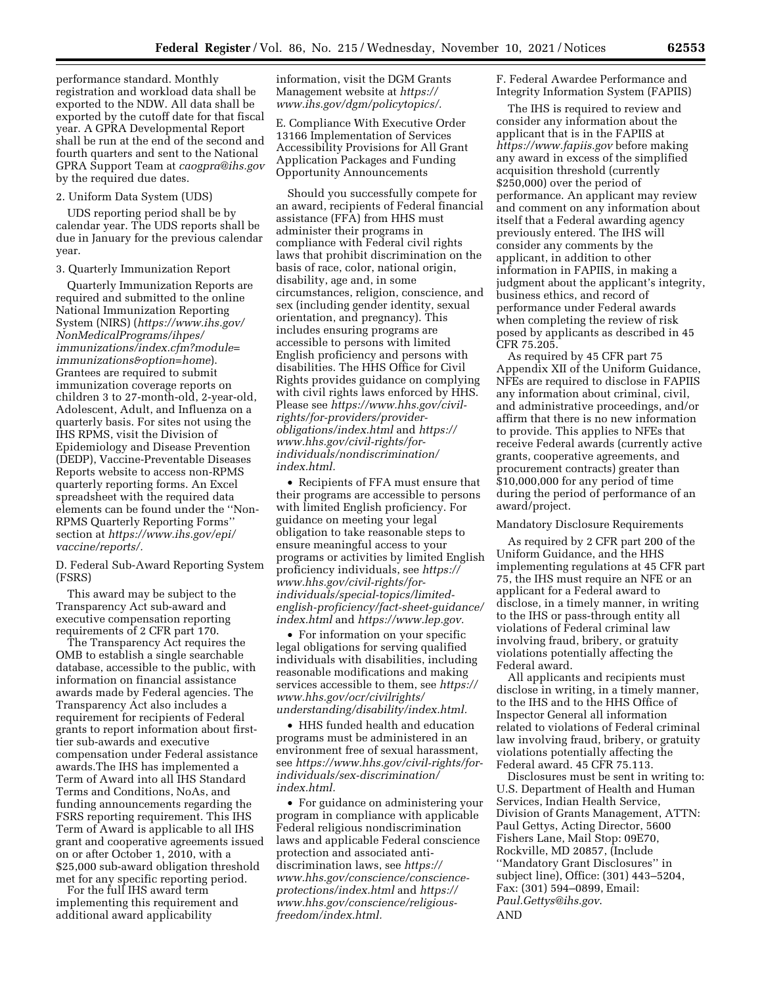performance standard. Monthly registration and workload data shall be exported to the NDW. All data shall be exported by the cutoff date for that fiscal year. A GPRA Developmental Report shall be run at the end of the second and fourth quarters and sent to the National GPRA Support Team at *[caogpra@ihs.gov](mailto:caogpra@ihs.gov)*  by the required due dates.

### 2. Uniform Data System (UDS)

UDS reporting period shall be by calendar year. The UDS reports shall be due in January for the previous calendar year.

#### 3. Quarterly Immunization Report

Quarterly Immunization Reports are required and submitted to the online National Immunization Reporting System (NIRS) (*[https://www.ihs.gov/](https://www.ihs.gov/NonMedicalPrograms/ihpes/immunizations/index.cfm?module=immunizations&option=home) [NonMedicalPrograms/ihpes/](https://www.ihs.gov/NonMedicalPrograms/ihpes/immunizations/index.cfm?module=immunizations&option=home) [immunizations/index.cfm?module=](https://www.ihs.gov/NonMedicalPrograms/ihpes/immunizations/index.cfm?module=immunizations&option=home) [immunizations&option=home](https://www.ihs.gov/NonMedicalPrograms/ihpes/immunizations/index.cfm?module=immunizations&option=home)*). Grantees are required to submit immunization coverage reports on children 3 to 27-month-old, 2-year-old, Adolescent, Adult, and Influenza on a quarterly basis. For sites not using the IHS RPMS, visit the Division of Epidemiology and Disease Prevention (DEDP), Vaccine-Preventable Diseases Reports website to access non-RPMS quarterly reporting forms. An Excel spreadsheet with the required data elements can be found under the ''Non-RPMS Quarterly Reporting Forms'' section at *[https://www.ihs.gov/epi/](https://www.ihs.gov/epi/vaccine/reports/) [vaccine/reports/.](https://www.ihs.gov/epi/vaccine/reports/)* 

D. Federal Sub-Award Reporting System (FSRS)

This award may be subject to the Transparency Act sub-award and executive compensation reporting requirements of 2 CFR part 170.

The Transparency Act requires the OMB to establish a single searchable database, accessible to the public, with information on financial assistance awards made by Federal agencies. The Transparency Act also includes a requirement for recipients of Federal grants to report information about firsttier sub-awards and executive compensation under Federal assistance awards.The IHS has implemented a Term of Award into all IHS Standard Terms and Conditions, NoAs, and funding announcements regarding the FSRS reporting requirement. This IHS Term of Award is applicable to all IHS grant and cooperative agreements issued on or after October 1, 2010, with a \$25,000 sub-award obligation threshold met for any specific reporting period.

For the full IHS award term implementing this requirement and additional award applicability

information, visit the DGM Grants Management website at *[https://](https://www.ihs.gov/dgm/policytopics/) [www.ihs.gov/dgm/policytopics/.](https://www.ihs.gov/dgm/policytopics/)* 

E. Compliance With Executive Order 13166 Implementation of Services Accessibility Provisions for All Grant Application Packages and Funding Opportunity Announcements

Should you successfully compete for an award, recipients of Federal financial assistance (FFA) from HHS must administer their programs in compliance with Federal civil rights laws that prohibit discrimination on the basis of race, color, national origin, disability, age and, in some circumstances, religion, conscience, and sex (including gender identity, sexual orientation, and pregnancy). This includes ensuring programs are accessible to persons with limited English proficiency and persons with disabilities. The HHS Office for Civil Rights provides guidance on complying with civil rights laws enforced by HHS. Please see *[https://www.hhs.gov/civil](https://www.hhs.gov/civil-rights/for-providers/provider-obligations/index.html)[rights/for-providers/provider](https://www.hhs.gov/civil-rights/for-providers/provider-obligations/index.html)[obligations/index.html](https://www.hhs.gov/civil-rights/for-providers/provider-obligations/index.html)* and *[https://](https://www.hhs.gov/civil-rights/for-individuals/nondiscrimination/index.html) [www.hhs.gov/civil-rights/for](https://www.hhs.gov/civil-rights/for-individuals/nondiscrimination/index.html.�)[individuals/nondiscrimination/](https://www.hhs.gov/civil-rights/for-individuals/nondiscrimination/index.html)  [index.html.](https://www.hhs.gov/civil-rights/for-individuals/nondiscrimination/index.html)* 

• Recipients of FFA must ensure that their programs are accessible to persons with limited English proficiency. For guidance on meeting your legal obligation to take reasonable steps to ensure meaningful access to your programs or activities by limited English proficiency individuals, see *[https://](https://www.hhs.gov/civil-rights/for-individuals/special-topics/limited-english-proficiency/fact-sheet-guidance/index.html) [www.hhs.gov/civil-rights/for](https://www.hhs.gov/civil-rights/for-individuals/special-topics/limited-english-proficiency/fact-sheet-guidance/index.html)[individuals/special-topics/limited](https://www.hhs.gov/civil-rights/for-individuals/special-topics/limited-english-proficiency/fact-sheet-guidance/index.html)[english-proficiency/fact-sheet-guidance/](https://www.hhs.gov/civil-rights/for-individuals/special-topics/limited-english-proficiency/fact-sheet-guidance/index.html)  [index.html](https://www.hhs.gov/civil-rights/for-individuals/special-topics/limited-english-proficiency/fact-sheet-guidance/index.html)* and *[https://www.lep.gov.](https://www.lep.gov)* 

• For information on your specific legal obligations for serving qualified individuals with disabilities, including reasonable modifications and making services accessible to them, see *[https://](https://www.hhs.gov/ocr/civilrights/understanding/disability/index.html)  [www.hhs.gov/ocr/civilrights/](https://www.hhs.gov/ocr/civilrights/understanding/disability/index.html) [understanding/disability/index.html.](https://www.hhs.gov/ocr/civilrights/understanding/disability/index.html)* 

• HHS funded health and education programs must be administered in an environment free of sexual harassment, see *[https://www.hhs.gov/civil-rights/for](https://www.hhs.gov/civil-rights/for-individuals/sex-discrimination/index.html)[individuals/sex-discrimination/](https://www.hhs.gov/civil-rights/for-individuals/sex-discrimination/index.html) [index.html.](https://www.hhs.gov/civil-rights/for-individuals/sex-discrimination/index.html)* 

• For guidance on administering your program in compliance with applicable Federal religious nondiscrimination laws and applicable Federal conscience protection and associated antidiscrimination laws, see *[https://](https://www.hhs.gov/conscience/conscience-protections/index.html) [www.hhs.gov/conscience/conscience](https://www.hhs.gov/conscience/conscience-protections/index.html)[protections/index.html](https://www.hhs.gov/conscience/conscience-protections/index.html)* and *[https://](https://www.hhs.gov/conscience/religious-freedom/index.html) [www.hhs.gov/conscience/religious](https://www.hhs.gov/conscience/religious-freedom/index.html)[freedom/index.html.](https://www.hhs.gov/conscience/religious-freedom/index.html)* 

F. Federal Awardee Performance and Integrity Information System (FAPIIS)

The IHS is required to review and consider any information about the applicant that is in the FAPIIS at *<https://www.fapiis.gov>* before making any award in excess of the simplified acquisition threshold (currently \$250,000) over the period of performance. An applicant may review and comment on any information about itself that a Federal awarding agency previously entered. The IHS will consider any comments by the applicant, in addition to other information in FAPIIS, in making a judgment about the applicant's integrity, business ethics, and record of performance under Federal awards when completing the review of risk posed by applicants as described in 45 CFR 75.205.

As required by 45 CFR part 75 Appendix XII of the Uniform Guidance, NFEs are required to disclose in FAPIIS any information about criminal, civil, and administrative proceedings, and/or affirm that there is no new information to provide. This applies to NFEs that receive Federal awards (currently active grants, cooperative agreements, and procurement contracts) greater than \$10,000,000 for any period of time during the period of performance of an award/project.

#### Mandatory Disclosure Requirements

As required by 2 CFR part 200 of the Uniform Guidance, and the HHS implementing regulations at 45 CFR part 75, the IHS must require an NFE or an applicant for a Federal award to disclose, in a timely manner, in writing to the IHS or pass-through entity all violations of Federal criminal law involving fraud, bribery, or gratuity violations potentially affecting the Federal award.

All applicants and recipients must disclose in writing, in a timely manner, to the IHS and to the HHS Office of Inspector General all information related to violations of Federal criminal law involving fraud, bribery, or gratuity violations potentially affecting the Federal award. 45 CFR 75.113.

Disclosures must be sent in writing to: U.S. Department of Health and Human Services, Indian Health Service, Division of Grants Management, ATTN: Paul Gettys, Acting Director, 5600 Fishers Lane, Mail Stop: 09E70, Rockville, MD 20857, (Include ''Mandatory Grant Disclosures'' in subject line), Office: (301) 443–5204, Fax: (301) 594–0899, Email: *[Paul.Gettys@ihs.gov](mailto:Paul.Gettys@ihs.gov)*. AND